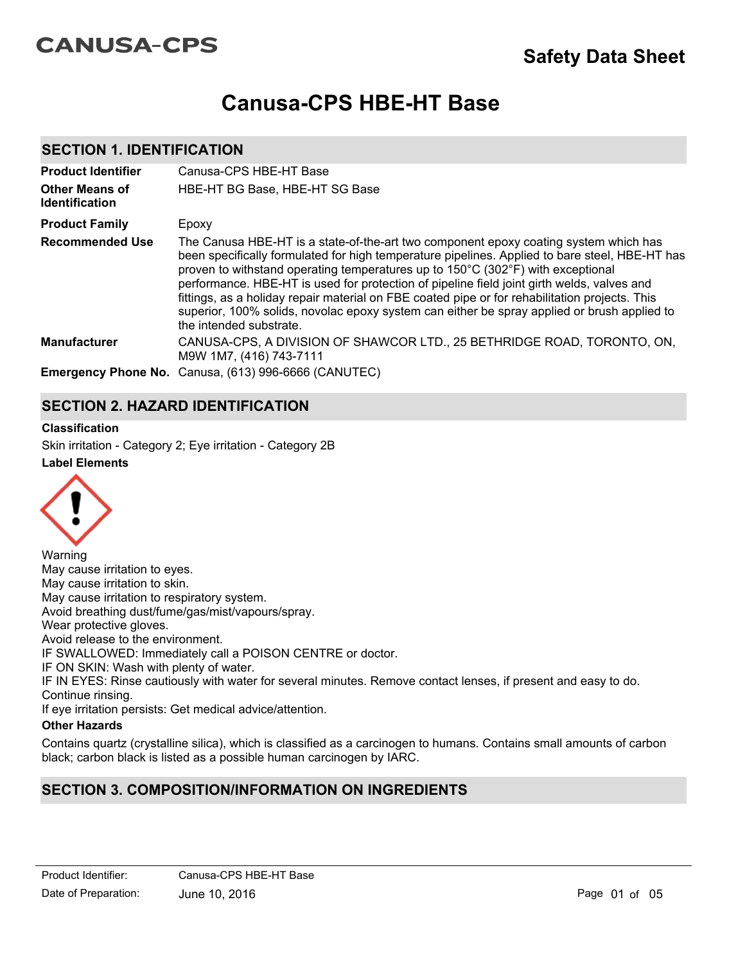# **CANUSA-CPS**

# **Canusa-CPS HBE-HT Base**

# **SECTION 1. IDENTIFICATION**

| <b>Product Identifier</b><br><b>Other Means of</b><br><b>Identification</b> | Canusa-CPS HBE-HT Base<br>HBE-HT BG Base, HBE-HT SG Base                                                                                                                                                                                                                                                                                                                                                                                                                                                                                                                                            |
|-----------------------------------------------------------------------------|-----------------------------------------------------------------------------------------------------------------------------------------------------------------------------------------------------------------------------------------------------------------------------------------------------------------------------------------------------------------------------------------------------------------------------------------------------------------------------------------------------------------------------------------------------------------------------------------------------|
| <b>Product Family</b>                                                       | Epoxy                                                                                                                                                                                                                                                                                                                                                                                                                                                                                                                                                                                               |
| <b>Recommended Use</b>                                                      | The Canusa HBE-HT is a state-of-the-art two component epoxy coating system which has<br>been specifically formulated for high temperature pipelines. Applied to bare steel, HBE-HT has<br>proven to withstand operating temperatures up to 150°C (302°F) with exceptional<br>performance. HBE-HT is used for protection of pipeline field joint girth welds, valves and<br>fittings, as a holiday repair material on FBE coated pipe or for rehabilitation projects. This<br>superior, 100% solids, novolac epoxy system can either be spray applied or brush applied to<br>the intended substrate. |
| <b>Manufacturer</b>                                                         | CANUSA-CPS, A DIVISION OF SHAWCOR LTD., 25 BETHRIDGE ROAD, TORONTO, ON,<br>M9W 1M7, (416) 743-7111                                                                                                                                                                                                                                                                                                                                                                                                                                                                                                  |
|                                                                             | Emergency Phone No. Canusa, (613) 996-6666 (CANUTEC)                                                                                                                                                                                                                                                                                                                                                                                                                                                                                                                                                |

# **SECTION 2. HAZARD IDENTIFICATION**

#### **Classification**

**Label Elements** Skin irritation - Category 2; Eye irritation - Category 2B



Warning May cause irritation to eyes. May cause irritation to skin. May cause irritation to respiratory system. Avoid breathing dust/fume/gas/mist/vapours/spray. Wear protective gloves. Avoid release to the environment. IF SWALLOWED: Immediately call a POISON CENTRE or doctor. IF ON SKIN: Wash with plenty of water. IF IN EYES: Rinse cautiously with water for several minutes. Remove contact lenses, if present and easy to do. Continue rinsing. If eye irritation persists: Get medical advice/attention.

## **Other Hazards**

Contains quartz (crystalline silica), which is classified as a carcinogen to humans. Contains small amounts of carbon black; carbon black is listed as a possible human carcinogen by IARC.

# **SECTION 3. COMPOSITION/INFORMATION ON INGREDIENTS**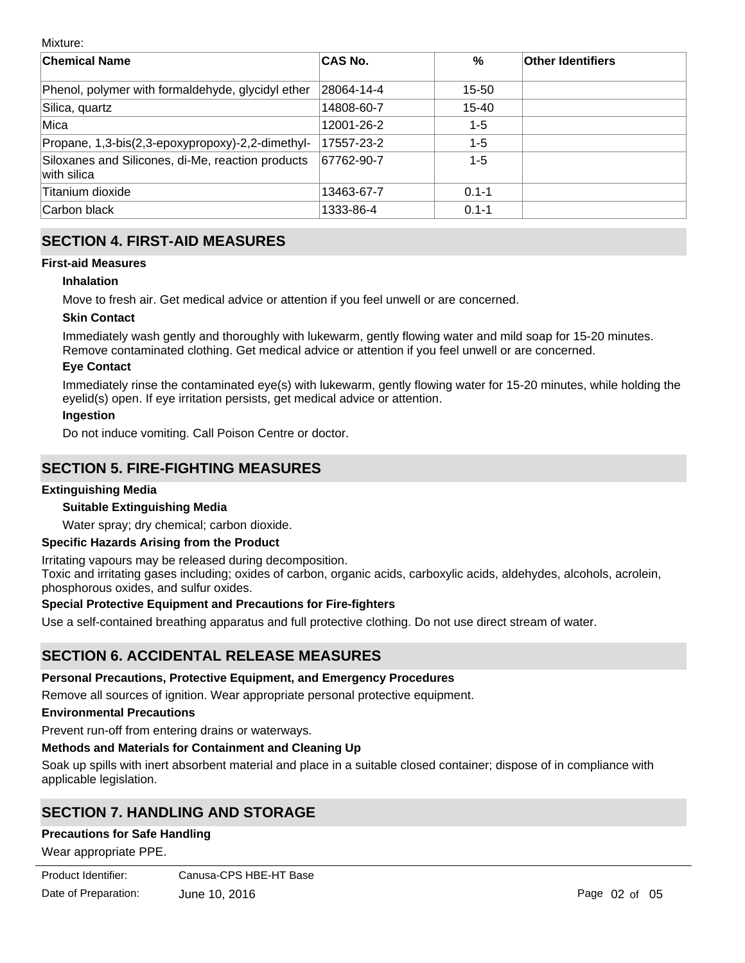Mixture:

| <b>Chemical Name</b>                                             | <b>CAS No.</b> | $\%$      | <b>Other Identifiers</b> |
|------------------------------------------------------------------|----------------|-----------|--------------------------|
| Phenol, polymer with formaldehyde, glycidyl ether                | 28064-14-4     | 15-50     |                          |
| Silica, quartz                                                   | 14808-60-7     | 15-40     |                          |
| Mica                                                             | 12001-26-2     | $1 - 5$   |                          |
| Propane, 1,3-bis(2,3-epoxypropoxy)-2,2-dimethyl-                 | 17557-23-2     | $1 - 5$   |                          |
| Siloxanes and Silicones, di-Me, reaction products<br>with silica | 67762-90-7     | $1 - 5$   |                          |
| Titanium dioxide                                                 | 13463-67-7     | $0.1 - 1$ |                          |
| Carbon black                                                     | 1333-86-4      | $0.1 - 1$ |                          |

# **SECTION 4. FIRST-AID MEASURES**

### **First-aid Measures**

### **Inhalation**

Move to fresh air. Get medical advice or attention if you feel unwell or are concerned.

### **Skin Contact**

Immediately wash gently and thoroughly with lukewarm, gently flowing water and mild soap for 15-20 minutes. Remove contaminated clothing. Get medical advice or attention if you feel unwell or are concerned.

#### **Eye Contact**

Immediately rinse the contaminated eye(s) with lukewarm, gently flowing water for 15-20 minutes, while holding the eyelid(s) open. If eye irritation persists, get medical advice or attention.

### **Ingestion**

Do not induce vomiting. Call Poison Centre or doctor.

# **SECTION 5. FIRE-FIGHTING MEASURES**

### **Extinguishing Media**

### **Suitable Extinguishing Media**

Water spray; dry chemical; carbon dioxide.

### **Specific Hazards Arising from the Product**

Irritating vapours may be released during decomposition.

Toxic and irritating gases including; oxides of carbon, organic acids, carboxylic acids, aldehydes, alcohols, acrolein, phosphorous oxides, and sulfur oxides.

### **Special Protective Equipment and Precautions for Fire-fighters**

Use a self-contained breathing apparatus and full protective clothing. Do not use direct stream of water.

# **SECTION 6. ACCIDENTAL RELEASE MEASURES**

# **Personal Precautions, Protective Equipment, and Emergency Procedures**

Remove all sources of ignition. Wear appropriate personal protective equipment.

# **Environmental Precautions**

Prevent run-off from entering drains or waterways.

# **Methods and Materials for Containment and Cleaning Up**

Soak up spills with inert absorbent material and place in a suitable closed container; dispose of in compliance with applicable legislation.

# **SECTION 7. HANDLING AND STORAGE**

# **Precautions for Safe Handling**

Wear appropriate PPE.

| Product Identifier:  | Canusa-CPS HBE-HT Base |
|----------------------|------------------------|
| Date of Preparation: | June 10, 2016          |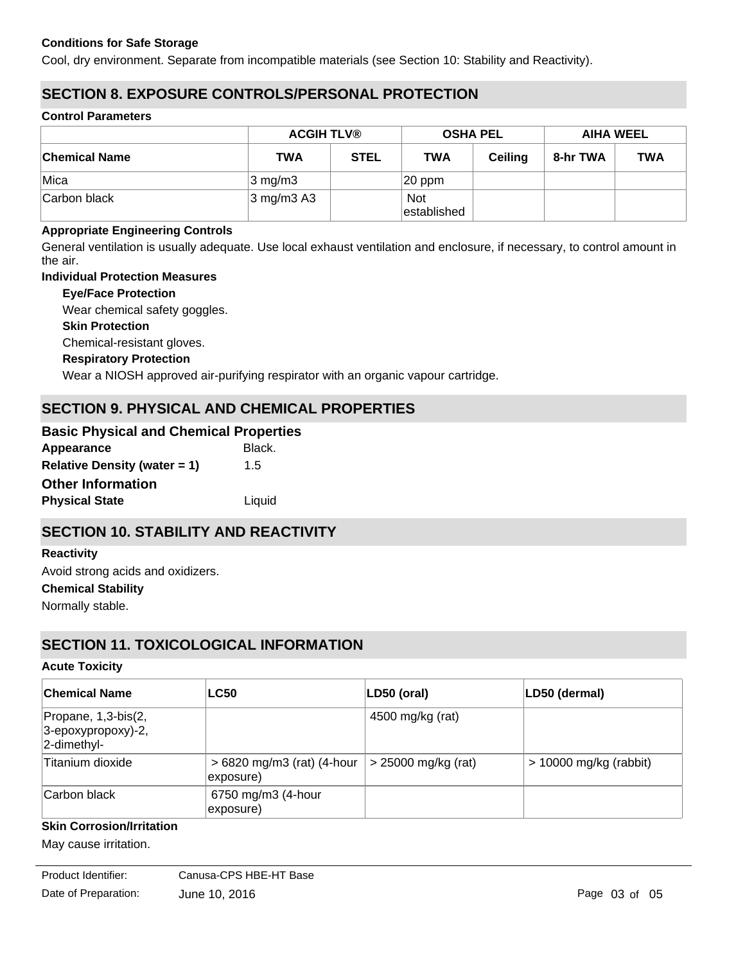### **Conditions for Safe Storage**

Cool, dry environment. Separate from incompatible materials (see Section 10: Stability and Reactivity).

# **SECTION 8. EXPOSURE CONTROLS/PERSONAL PROTECTION**

#### **Control Parameters**

|                      | <b>ACGIH TLV®</b>                  |             |                           | <b>OSHA PEL</b> |          | <b>AIHA WEEL</b> |
|----------------------|------------------------------------|-------------|---------------------------|-----------------|----------|------------------|
| <b>Chemical Name</b> | TWA                                | <b>STEL</b> | <b>TWA</b>                | <b>Ceiling</b>  | 8-hr TWA | <b>TWA</b>       |
| Mica                 | $3 \text{ mg/m}$                   |             | $ 20$ ppm                 |                 |          |                  |
| Carbon black         | $3 \text{ mg/m}$ $3 \text{ A}$ $3$ |             | <b>Not</b><br>established |                 |          |                  |

#### **Appropriate Engineering Controls**

General ventilation is usually adequate. Use local exhaust ventilation and enclosure, if necessary, to control amount in the air.

#### **Individual Protection Measures**

**Eye/Face Protection**

Wear chemical safety goggles.

**Skin Protection**

Chemical-resistant gloves.

#### **Respiratory Protection**

Wear a NIOSH approved air-purifying respirator with an organic vapour cartridge.

# **SECTION 9. PHYSICAL AND CHEMICAL PROPERTIES**

| <b>Basic Physical and Chemical Properties</b> |
|-----------------------------------------------|
| Black.                                        |
| 1.5                                           |
|                                               |
| Liquid                                        |
|                                               |

# **SECTION 10. STABILITY AND REACTIVITY**

# **Chemical Stability Reactivity** Avoid strong acids and oxidizers.

Normally stable.

# **SECTION 11. TOXICOLOGICAL INFORMATION**

#### **Acute Toxicity**

| ∣Chemical Name                                               | <b>LC50</b>                             | LD50 (oral)           | LD50 (dermal)            |
|--------------------------------------------------------------|-----------------------------------------|-----------------------|--------------------------|
| Propane, 1,3-bis(2,<br>$ 3$ -epoxypropoxy)-2,<br>2-dimethyl- |                                         | 4500 mg/kg (rat)      |                          |
| Titanium dioxide                                             | > 6820 mg/m3 (rat) (4-hour<br>exposure) | $>$ 25000 mg/kg (rat) | $> 10000$ mg/kg (rabbit) |
| Carbon black                                                 | 6750 mg/m3 (4-hour<br>exposure)         |                       |                          |

### **Skin Corrosion/Irritation**

**Serious Eye Damage/Irritation**

May cause irritation.

Date of Preparation: June 10, 2016 **Page 03 of 05** Page 03 of 05 Product Identifier: Canusa-CPS HBE-HT Base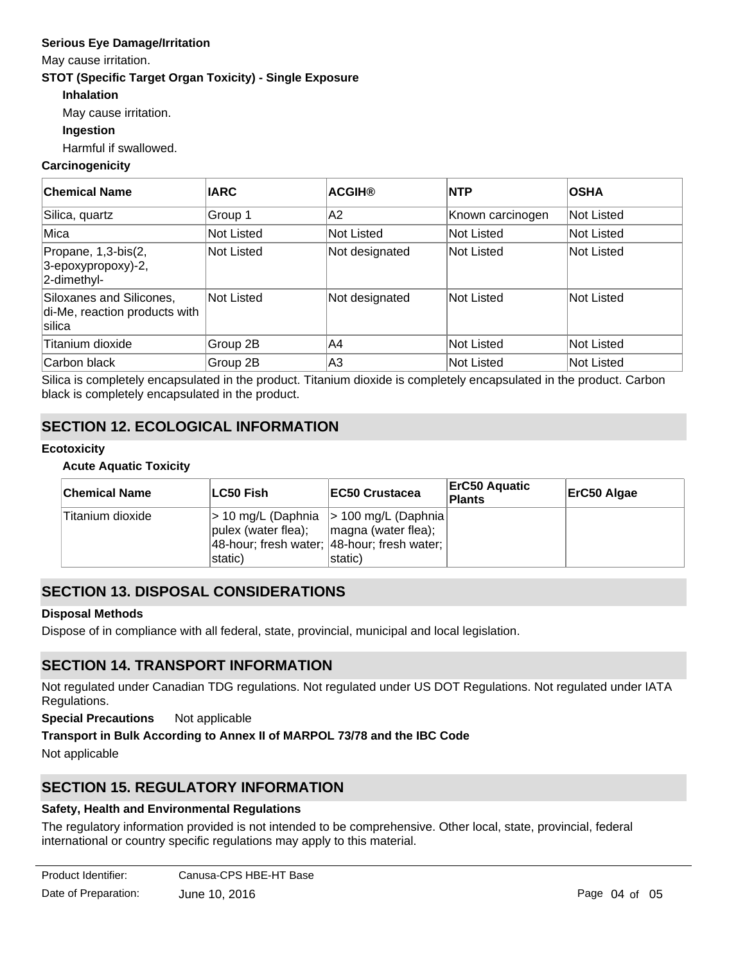## **Serious Eye Damage/Irritation**

May cause irritation.

### **STOT (Specific Target Organ Toxicity) - Single Exposure**

- **Inhalation**
- May cause irritation.

### **Ingestion**

Harmful if swallowed.

### **Carcinogenicity**

| ∣Chemical Name                                                      | <b>IARC</b> | <b>ACGIH®</b>     | <b>NTP</b>       | <b>OSHA</b> |
|---------------------------------------------------------------------|-------------|-------------------|------------------|-------------|
| Silica, quartz                                                      | Group 1     | IA2               | Known carcinogen | Not Listed  |
| Mica                                                                | Not Listed  | <b>Not Listed</b> | Not Listed       | Not Listed  |
| Propane, 1,3-bis(2,<br>3-epoxypropoxy)-2,<br>2-dimethyl-            | Not Listed  | Not designated    | Not Listed       | Not Listed  |
| Siloxanes and Silicones,<br>di-Me, reaction products with<br>silica | Not Listed  | Not designated    | lNot Listed      | Not Listed  |
| Titanium dioxide                                                    | Group 2B    | IA4               | Not Listed       | Not Listed  |
| Carbon black                                                        | Group 2B    | A3                | Not Listed       | Not Listed  |

Silica is completely encapsulated in the product. Titanium dioxide is completely encapsulated in the product. Carbon black is completely encapsulated in the product.

# **SECTION 12. ECOLOGICAL INFORMATION**

### **Ecotoxicity**

#### **Acute Aquatic Toxicity**

| <b>Chemical Name</b> | LC50 Fish                                            | <b>IEC50 Crustacea</b>                                                                             | <b>ErC50 Aquatic</b><br><b>Plants</b> | ErC50 Algae |
|----------------------|------------------------------------------------------|----------------------------------------------------------------------------------------------------|---------------------------------------|-------------|
| Titanium dioxide     | pulex (water flea);   magna (water flea);<br>static) | > 10 mg/L (Daphnia  > 100 mg/L (Daphnia)<br>48-hour; fresh water; 48-hour; fresh water;<br>static) |                                       |             |

# **SECTION 13. DISPOSAL CONSIDERATIONS**

#### **Disposal Methods**

Dispose of in compliance with all federal, state, provincial, municipal and local legislation.

# **SECTION 14. TRANSPORT INFORMATION**

Not regulated under Canadian TDG regulations. Not regulated under US DOT Regulations. Not regulated under IATA Regulations.

**Special Precautions** Not applicable

### **Transport in Bulk According to Annex II of MARPOL 73/78 and the IBC Code**

Not applicable

# **SECTION 15. REGULATORY INFORMATION**

### **Safety, Health and Environmental Regulations**

The regulatory information provided is not intended to be comprehensive. Other local, state, provincial, federal international or country specific regulations may apply to this material.